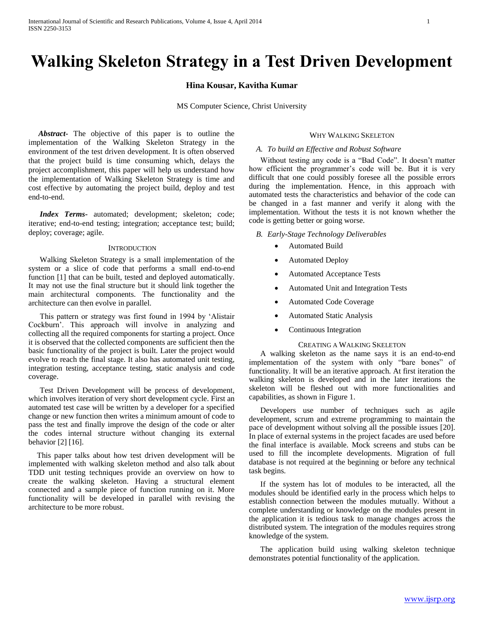# **Walking Skeleton Strategy in a Test Driven Development**

#### **Hina Kousar, Kavitha Kumar**

MS Computer Science, Christ University

 *Abstract***-** The objective of this paper is to outline the implementation of the Walking Skeleton Strategy in the environment of the test driven development. It is often observed that the project build is time consuming which, delays the project accomplishment, this paper will help us understand how the implementation of Walking Skeleton Strategy is time and cost effective by automating the project build, deploy and test end-to-end.

*Index Terms-* automated; development; skeleton; code; iterative; end-to-end testing; integration; acceptance test; build; deploy; coverage; agile.

#### **INTRODUCTION**

Walking Skeleton Strategy is a small implementation of the system or a slice of code that performs a small end-to-end function [1] that can be built, tested and deployed automatically. It may not use the final structure but it should link together the main architectural components. The functionality and the architecture can then evolve in parallel.

This pattern or strategy was first found in 1994 by 'Alistair Cockburn'. This approach will involve in analyzing and collecting all the required components for starting a project. Once it is observed that the collected components are sufficient then the basic functionality of the project is built. Later the project would evolve to reach the final stage. It also has automated unit testing, integration testing, acceptance testing, static analysis and code coverage.

Test Driven Development will be process of development, which involves iteration of very short development cycle. First an automated test case will be written by a developer for a specified change or new function then writes a minimum amount of code to pass the test and finally improve the design of the code or alter the codes internal structure without changing its external behavior [2] [16].

This paper talks about how test driven development will be implemented with walking skeleton method and also talk about TDD unit testing techniques provide an overview on how to create the walking skeleton. Having a structural element connected and a sample piece of function running on it. More functionality will be developed in parallel with revising the architecture to be more robust.

## WHY WALKING SKELETON

## *A. To build an Effective and Robust Software*

Without testing any code is a "Bad Code". It doesn't matter how efficient the programmer's code will be. But it is very difficult that one could possibly foresee all the possible errors during the implementation. Hence, in this approach with automated tests the characteristics and behavior of the code can be changed in a fast manner and verify it along with the implementation. Without the tests it is not known whether the code is getting better or going worse.

#### *B. Early-Stage Technology Deliverables*

- Automated Build
- Automated Deploy
- Automated Acceptance Tests
- Automated Unit and Integration Tests
- Automated Code Coverage
- Automated Static Analysis
- Continuous Integration

#### CREATING A WALKING SKELETON

A walking skeleton as the name says it is an end-to-end implementation of the system with only "bare bones" of functionality. It will be an iterative approach. At first iteration the walking skeleton is developed and in the later iterations the skeleton will be fleshed out with more functionalities and capabilities, as shown in Figure 1.

Developers use number of techniques such as agile development, scrum and extreme programming to maintain the pace of development without solving all the possible issues [20]. In place of external systems in the project facades are used before the final interface is available. Mock screens and stubs can be used to fill the incomplete developments. Migration of full database is not required at the beginning or before any technical task begins.

If the system has lot of modules to be interacted, all the modules should be identified early in the process which helps to establish connection between the modules mutually. Without a complete understanding or knowledge on the modules present in the application it is tedious task to manage changes across the distributed system. The integration of the modules requires strong knowledge of the system.

The application build using walking skeleton technique demonstrates potential functionality of the application.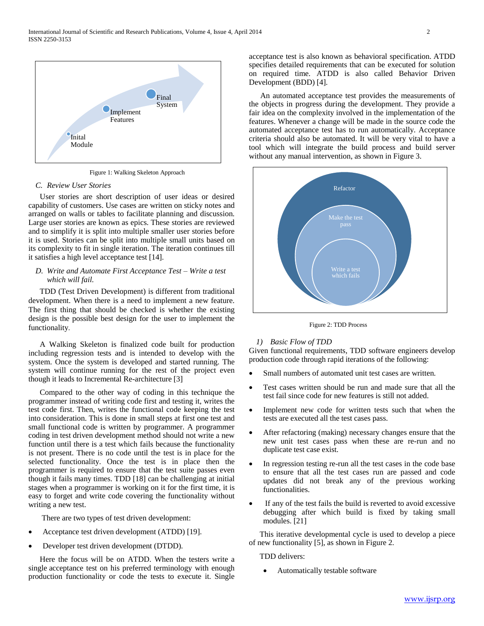

Figure 1: Walking Skeleton Approach

#### *C. Review User Stories*

User stories are short description of user ideas or desired capability of customers. Use cases are written on sticky notes and arranged on walls or tables to facilitate planning and discussion. Large user stories are known as epics. These stories are reviewed and to simplify it is split into multiple smaller user stories before it is used. Stories can be split into multiple small units based on its complexity to fit in single iteration. The iteration continues till it satisfies a high level acceptance test [14].

## *D. Write and Automate First Acceptance Test – Write a test which will fail.*

TDD (Test Driven Development) is different from traditional development. When there is a need to implement a new feature. The first thing that should be checked is whether the existing design is the possible best design for the user to implement the functionality.

A Walking Skeleton is finalized code built for production including regression tests and is intended to develop with the system. Once the system is developed and started running. The system will continue running for the rest of the project even though it leads to Incremental Re-architecture [3]

Compared to the other way of coding in this technique the programmer instead of writing code first and testing it, writes the test code first. Then, writes the functional code keeping the test into consideration. This is done in small steps at first one test and small functional code is written by programmer. A programmer coding in test driven development method should not write a new function until there is a test which fails because the functionality is not present. There is no code until the test is in place for the selected functionality. Once the test is in place then the programmer is required to ensure that the test suite passes even though it fails many times. TDD [18] can be challenging at initial stages when a programmer is working on it for the first time, it is easy to forget and write code covering the functionality without writing a new test.

There are two types of test driven development:

- Acceptance test driven development (ATDD) [19].
- Developer test driven development (DTDD).

Here the focus will be on ATDD. When the testers write a single acceptance test on his preferred terminology with enough production functionality or code the tests to execute it. Single

acceptance test is also known as behavioral specification. ATDD specifies detailed requirements that can be executed for solution on required time. ATDD is also called Behavior Driven Development (BDD) [4].

An automated acceptance test provides the measurements of the objects in progress during the development. They provide a fair idea on the complexity involved in the implementation of the features. Whenever a change will be made in the source code the automated acceptance test has to run automatically. Acceptance criteria should also be automated. It will be very vital to have a tool which will integrate the build process and build server without any manual intervention, as shown in Figure 3.



Figure 2: TDD Process

#### *1) Basic Flow of TDD*

Given functional requirements, TDD software engineers develop production code through rapid iterations of the following:

- Small numbers of automated unit test cases are written.
- Test cases written should be run and made sure that all the test fail since code for new features is still not added.
- Implement new code for written tests such that when the tests are executed all the test cases pass.
- After refactoring (making) necessary changes ensure that the new unit test cases pass when these are re-run and no duplicate test case exist.
- In regression testing re-run all the test cases in the code base to ensure that all the test cases run are passed and code updates did not break any of the previous working functionalities.
- If any of the test fails the build is reverted to avoid excessive debugging after which build is fixed by taking small modules. [21]

This iterative developmental cycle is used to develop a piece of new functionality [5], as shown in Figure 2.

TDD delivers:

Automatically testable software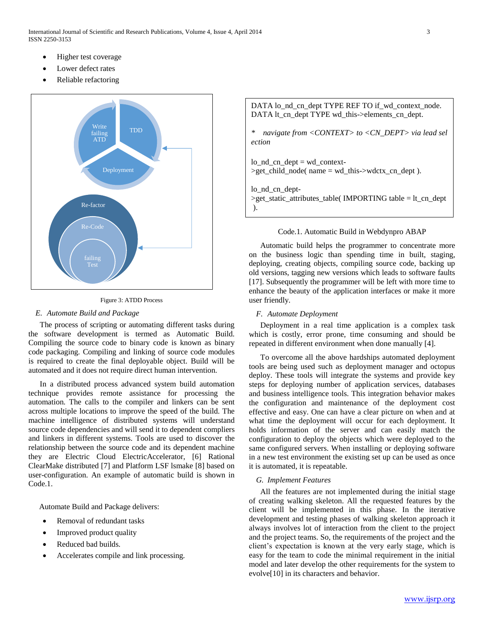International Journal of Scientific and Research Publications, Volume 4, Issue 4, April 2014 3 ISSN 2250-3153

- Higher test coverage
- Lower defect rates
- Reliable refactoring





#### *E. Automate Build and Package*

The process of scripting or automating different tasks during the software development is termed as Automatic Build. Compiling the source code to binary code is known as binary code packaging. Compiling and linking of source code modules is required to create the final deployable object. Build will be automated and it does not require direct human intervention.

In a distributed process advanced system build automation technique provides remote assistance for processing the automation. The calls to the compiler and linkers can be sent across multiple locations to improve the speed of the build. The machine intelligence of distributed systems will understand source code dependencies and will send it to dependent compliers and linkers in different systems. Tools are used to discover the relationship between the source code and its dependent machine they are Electric Cloud ElectricAccelerator, [6] Rational ClearMake distributed [7] and Platform LSF lsmake [8] based on user-configuration. An example of automatic build is shown in Code.1.

Automate Build and Package delivers:

- Removal of redundant tasks
- Improved product quality
- Reduced bad builds.
- Accelerates compile and link processing.

DATA lo\_nd\_cn\_dept TYPE REF TO if\_wd\_context\_node. DATA lt cn\_dept TYPE wd\_this->elements\_cn\_dept.

*\* navigate from <CONTEXT> to <CN\_DEPT> via lead sel ection*

 $\log_{10}$   $\text{cm}_{\text{}^\circ}$  dept = wd\_context- $\geq$ get child node( name = wd this- $\geq$ wdctx cn dept ).

lo\_nd\_cn\_dept- >get\_static\_attributes\_table( IMPORTING table = lt\_cn\_dept ).

#### Code.1. Automatic Build in Webdynpro ABAP

Automatic build helps the programmer to concentrate more on the business logic than spending time in built, staging, deploying, creating objects, compiling source code, backing up old versions, tagging new versions which leads to software faults [17]. Subsequently the programmer will be left with more time to enhance the beauty of the application interfaces or make it more user friendly.

## *F. Automate Deployment*

Deployment in a real time application is a complex task which is costly, error prone, time consuming and should be repeated in different environment when done manually [4].

To overcome all the above hardships automated deployment tools are being used such as deployment manager and octopus deploy. These tools will integrate the systems and provide key steps for deploying number of application services, databases and business intelligence tools. This integration behavior makes the configuration and maintenance of the deployment cost effective and easy. One can have a clear picture on when and at what time the deployment will occur for each deployment. It holds information of the server and can easily match the configuration to deploy the objects which were deployed to the same configured servers. When installing or deploying software in a new test environment the existing set up can be used as once it is automated, it is repeatable.

#### *G. Implement Features*

All the features are not implemented during the initial stage of creating walking skeleton. All the requested features by the client will be implemented in this phase. In the iterative development and testing phases of walking skeleton approach it always involves lot of interaction from the client to the project and the project teams. So, the requirements of the project and the client's expectation is known at the very early stage, which is easy for the team to code the minimal requirement in the initial model and later develop the other requirements for the system to evolve[10] in its characters and behavior.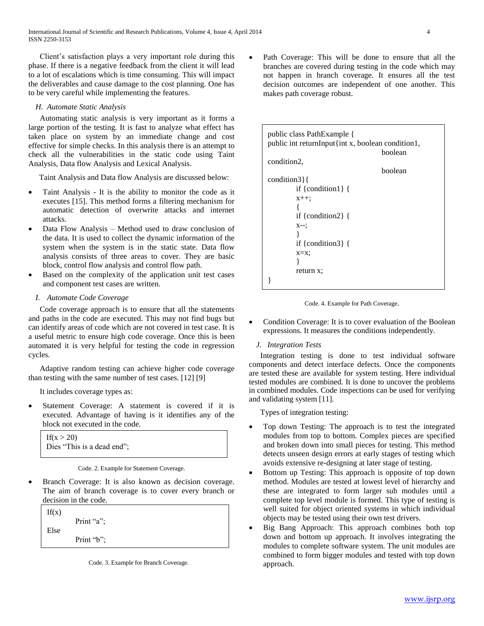Client's satisfaction plays a very important role during this phase. If there is a negative feedback from the client it will lead to a lot of escalations which is time consuming. This will impact the deliverables and cause damage to the cost planning. One has to be very careful while implementing the features.

## *H. Automate Static Analysis*

Automating static analysis is very important as it forms a large portion of the testing. It is fast to analyze what effect has taken place on system by an immediate change and cost effective for simple checks. In this analysis there is an attempt to check all the vulnerabilities in the static code using Taint Analysis, Data flow Analysis and Lexical Analysis.

Taint Analysis and Data flow Analysis are discussed below:

- Taint Analysis It is the ability to monitor the code as it executes [15]. This method forms a filtering mechanism for automatic detection of overwrite attacks and internet attacks.
- Data Flow Analysis Method used to draw conclusion of the data. It is used to collect the dynamic information of the system when the system is in the static state. Data flow analysis consists of three areas to cover. They are basic block, control flow analysis and control flow path.
- Based on the complexity of the application unit test cases and component test cases are written.

## *I. Automate Code Coverage*

Code coverage approach is to ensure that all the statements and paths in the code are executed. This may not find bugs but can identify areas of code which are not covered in test case. It is a useful metric to ensure high code coverage. Once this is been automated it is very helpful for testing the code in regression cycles.

Adaptive random testing can achieve higher code coverage than testing with the same number of test cases. [12] [9]

It includes coverage types as:

 Statement Coverage: A statement is covered if it is executed. Advantage of having is it identifies any of the block not executed in the code.

| If $(x > 20)$              |  |
|----------------------------|--|
| Dies "This is a dead end"; |  |

 Branch Coverage: It is also known as decision coverage. The aim of branch coverage is to cover every branch or decision in the code.

| If(x) | Print " $a$ "; |  |
|-------|----------------|--|
| Else  | Print " $b$ "; |  |

Code. 3. Example for Branch Coverage.

 Path Coverage: This will be done to ensure that all the branches are covered during testing in the code which may not happen in branch coverage. It ensures all the test decision outcomes are independent of one another. This makes path coverage robust.

| public class PathExample {<br>public int returnInput{int x, boolean condition1, |  |  |
|---------------------------------------------------------------------------------|--|--|
| boolean                                                                         |  |  |
| condition <sub>2</sub> ,                                                        |  |  |
| boolean                                                                         |  |  |
| condition $3$ {                                                                 |  |  |
| if {condition1} {                                                               |  |  |
| $X++$ ;                                                                         |  |  |
|                                                                                 |  |  |
| if {condition2} {                                                               |  |  |
| $X--$                                                                           |  |  |
|                                                                                 |  |  |
| if {condition3} {                                                               |  |  |
| $x=x$ ;                                                                         |  |  |
|                                                                                 |  |  |
| return x;                                                                       |  |  |
|                                                                                 |  |  |



- Condition Coverage: It is to cover evaluation of the Boolean expressions. It measures the conditions independently.
	- *J. Integration Tests*

Integration testing is done to test individual software components and detect interface defects. Once the components are tested these are available for system testing. Here individual tested modules are combined. It is done to uncover the problems in combined modules. Code inspections can be used for verifying and validating system [11].

Types of integration testing:

- Top down Testing: The approach is to test the integrated modules from top to bottom. Complex pieces are specified and broken down into small pieces for testing. This method detects unseen design errors at early stages of testing which avoids extensive re-designing at later stage of testing.
- Bottom up Testing: This approach is opposite of top down method. Modules are tested at lowest level of hierarchy and these are integrated to form larger sub modules until a complete top level module is formed. This type of testing is well suited for object oriented systems in which individual objects may be tested using their own test drivers.
- Big Bang Approach: This approach combines both top down and bottom up approach. It involves integrating the modules to complete software system. The unit modules are combined to form bigger modules and tested with top down approach.

Code. 2. Example for Statement Coverage.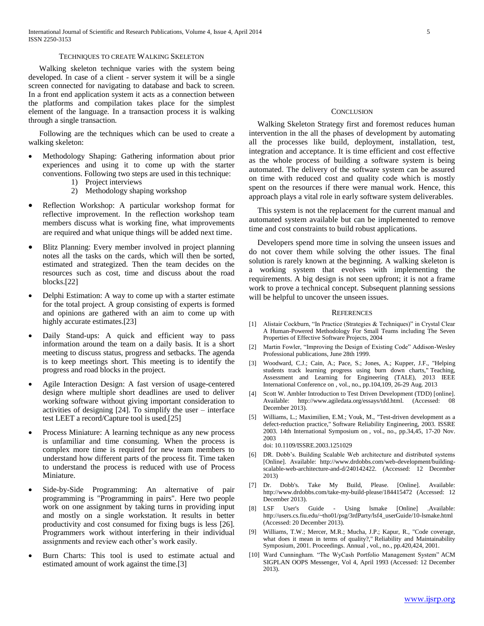#### TECHNIQUES TO CREATE WALKING SKELETON

Walking skeleton technique varies with the system being developed. In case of a client - server system it will be a single screen connected for navigating to database and back to screen. In a front end application system it acts as a connection between the platforms and compilation takes place for the simplest element of the language. In a transaction process it is walking through a single transaction.

Following are the techniques which can be used to create a walking skeleton:

- Methodology Shaping: Gathering information about prior experiences and using it to come up with the starter conventions. Following two steps are used in this technique:
	- 1) Project interviews
	- 2) Methodology shaping workshop
- Reflection Workshop: A particular workshop format for reflective improvement. In the reflection workshop team members discuss what is working fine, what improvements are required and what unique things will be added next time.
- Blitz Planning: Every member involved in project planning notes all the tasks on the cards, which will then be sorted, estimated and strategized. Then the team decides on the resources such as cost, time and discuss about the road blocks.[22]
- Delphi Estimation: A way to come up with a starter estimate for the total project. A group consisting of experts is formed and opinions are gathered with an aim to come up with highly accurate estimates.[23]
- Daily Stand-ups: A quick and efficient way to pass information around the team on a daily basis. It is a short meeting to discuss status, progress and setbacks. The agenda is to keep meetings short. This meeting is to identify the progress and road blocks in the project.
- Agile Interaction Design: A fast version of usage-centered design where multiple short deadlines are used to deliver working software without giving important consideration to activities of designing [24]. To simplify the user – interface test LEET a record/Capture tool is used.[25]
- Process Miniature: A learning technique as any new process is unfamiliar and time consuming. When the process is complex more time is required for new team members to understand how different parts of the process fit. Time taken to understand the process is reduced with use of Process Miniature.
- Side-by-Side Programming: An alternative of pair programming is "Programming in pairs". Here two people work on one assignment by taking turns in providing input and mostly on a single workstation. It results in better productivity and cost consumed for fixing bugs is less [26]. Programmers work without interfering in their individual assignments and review each other's work easily.
- Burn Charts: This tool is used to estimate actual and estimated amount of work against the time.[3]

#### **CONCLUSION**

Walking Skeleton Strategy first and foremost reduces human intervention in the all the phases of development by automating all the processes like build, deployment, installation, test, integration and acceptance. It is time efficient and cost effective as the whole process of building a software system is being automated. The delivery of the software system can be assured on time with reduced cost and quality code which is mostly spent on the resources if there were manual work. Hence, this approach plays a vital role in early software system deliverables.

This system is not the replacement for the current manual and automated system available but can be implemented to remove time and cost constraints to build robust applications.

Developers spend more time in solving the unseen issues and do not cover them while solving the other issues. The final solution is rarely known at the beginning. A walking skeleton is a working system that evolves with implementing the requirements. A big design is not seen upfront; it is not a frame work to prove a technical concept. Subsequent planning sessions will be helpful to uncover the unseen issues.

#### **REFERENCES**

- [1] Alistair Cockburn, "In Practice (Strategies & Techniques)" in Crystal Clear A Human-Powered Methodology For Small Teams including The Seven Properties of Effective Software Projects, 2004
- [2] Martin Fowler, "Improving the Design of Existing Code" Addison-Wesley Professional publications, June 28th 1999.
- [3] Woodward, C.J.; Cain, A.; Pace, S.; Jones, A.; Kupper, J.F., "Helping students track learning progress using burn down charts," Teaching, Assessment and Learning for Engineering (TALE), 2013 IEEE International Conference on , vol., no., pp.104,109, 26-29 Aug. 2013
- [4] Scott W. Ambler Introduction to Test Driven Development (TDD) [online]. Available: http://www.agiledata.org/essays/tdd.html. (Accessed: 08 December 2013).
- [5] Williams, L.; Maximilien, E.M.; Vouk, M., "Test-driven development as a defect-reduction practice," Software Reliability Engineering, 2003. ISSRE 2003. 14th International Symposium on , vol., no., pp.34,45, 17-20 Nov. 2003 doi: 10.1109/ISSRE.2003.1251029
	-
- [6] DR. Dobb's. Building Scalable Web architecture and distributed systems [Online]. Available: http://www.drdobbs.com/web-development/buildingscalable-web-architecture-and-d/240142422. (Accessed: 12 December 2013)
- [7] Dr. Dobb's. Take My Build, Please. [Online]. Available: http://www.drdobbs.com/take-my-build-please/184415472 (Accessed: 12 December 2013).
- [8] LSF User's Guide Using lsmake [Online] .Available: http://users.cs.fiu.edu/~tho01/psg/3rdParty/lsf4\_userGuide/10-lsmake.html (Accessed: 20 December 2013).
- [9] Williams, T.W.; Mercer, M.R.; Mucha, J.P.; Kapur, R., "Code coverage, what does it mean in terms of quality?," Reliability and Maintainability Symposium, 2001. Proceedings. Annual , vol., no., pp.420,424, 2001.
- [10] Ward Cunningham. "The WyCash Portfolio Management System" ACM SIGPLAN OOPS Messenger, Vol 4, April 1993 (Accessed: 12 December 2013).